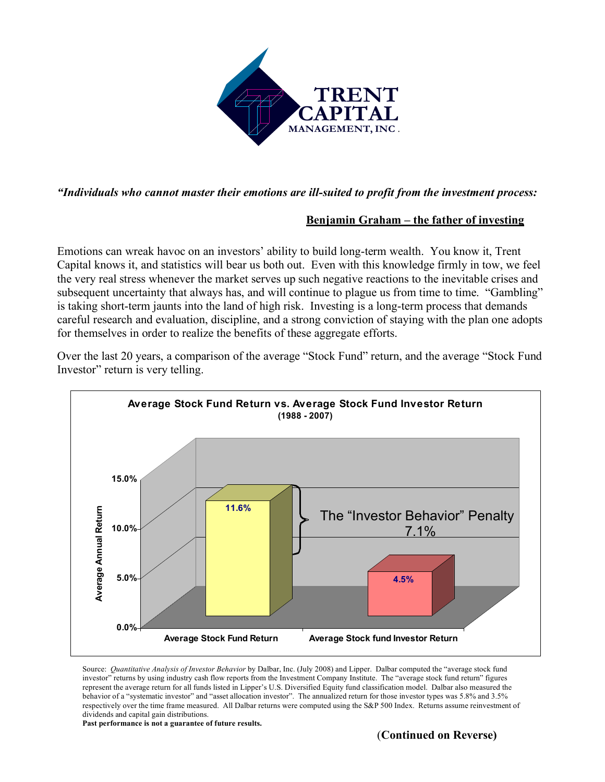

*"Individuals who cannot master their emotions are ill-suited to profit from the investment process:*

## **Benjamin Graham – the father of investing**

Emotions can wreak havoc on an investors' ability to build long-term wealth. You know it, Trent Capital knows it, and statistics will bear us both out. Even with this knowledge firmly in tow, we feel the very real stress whenever the market serves up such negative reactions to the inevitable crises and subsequent uncertainty that always has, and will continue to plague us from time to time. "Gambling" is taking short-term jaunts into the land of high risk. Investing is a long-term process that demands careful research and evaluation, discipline, and a strong conviction of staying with the plan one adopts for themselves in order to realize the benefits of these aggregate efforts.



Over the last 20 years, a comparison of the average "Stock Fund" return, and the average "Stock Fund Investor" return is very telling.

Source: *Quantitative Analysis of Investor Behavior* by Dalbar, Inc. (July 2008) and Lipper. Dalbar computed the "average stock fund investor" returns by using industry cash flow reports from the Investment Company Institute. The "average stock fund return" figures represent the average return for all funds listed in Lipper's U.S. Diversified Equity fund classification model. Dalbar also measured the behavior of a "systematic investor" and "asset allocation investor". The annualized return for those investor types was 5.8% and 3.5% respectively over the time frame measured. All Dalbar returns were computed using the S&P 500 Index. Returns assume reinvestment of dividends and capital gain distributions.

**Past performance is not a guarantee of future results.**